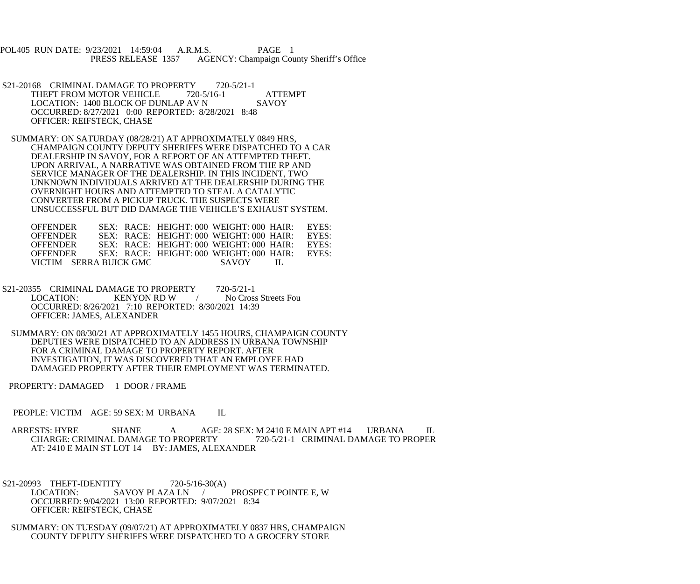POL405 RUN DATE: 9/23/2021 14:59:04 A.R.M.S. PAGE 1 PRESS RELEASE 1357 AGENCY: Champaign County Sheriff's Office

- S21-20168 CRIMINAL DAMAGE TO PROPERTY 720-5/21-1<br>THEFT FROM MOTOR VEHICLE 720-5/16-1 THEFT FROM MOTOR VEHICLE  $720-5/16-1$  ATTEMPT LOCATION: 1400 BLOCK OF DUNLAP AV N SAVOY OCCURRED: 8/27/2021 0:00 REPORTED: 8/28/2021 8:48 OFFICER: REIFSTECK, CHASE
- SUMMARY: ON SATURDAY (08/28/21) AT APPROXIMATELY 0849 HRS, CHAMPAIGN COUNTY DEPUTY SHERIFFS WERE DISPATCHED TO A CAR DEALERSHIP IN SAVOY, FOR A REPORT OF AN ATTEMPTED THEFT. UPON ARRIVAL, A NARRATIVE WAS OBTAINED FROM THE RP AND SERVICE MANAGER OF THE DEALERSHIP. IN THIS INCIDENT, TWO UNKNOWN INDIVIDUALS ARRIVED AT THE DEALERSHIP DURING THE OVERNIGHT HOURS AND ATTEMPTED TO STEAL A CATALYTIC CONVERTER FROM A PICKUP TRUCK. THE SUSPECTS WERE UNSUCCESSFUL BUT DID DAMAGE THE VEHICLE'S EXHAUST SYSTEM.

OFFENDER SEX: RACE: HEIGHT: 000 WEIGHT: 000 HAIR: EYES:<br>OFFENDER SEX: RACE: HEIGHT: 000 WEIGHT: 000 HAIR: EYES: OFFENDER SEX: RACE: HEIGHT: 000 WEIGHT: 000 HAIR:<br>OFFENDER SEX: RACE: HEIGHT: 000 WEIGHT: 000 HAIR: SEX: RACE: HEIGHT: 000 WEIGHT: 000 HAIR: EYES: OFFENDER SEX: RACE: HEIGHT: 000 WEIGHT: 000 HAIR: EYES: VICTIM SERRA BUICK GMC SAVOY IL

- S21-20355 CRIMINAL DAMAGE TO PROPERTY 720-5/21-1 LOCATION: KENYON RD W / No Cross Streets Fou OCCURRED: 8/26/2021 7:10 REPORTED: 8/30/2021 14:39 OFFICER: JAMES, ALEXANDER
- SUMMARY: ON 08/30/21 AT APPROXIMATELY 1455 HOURS, CHAMPAIGN COUNTY DEPUTIES WERE DISPATCHED TO AN ADDRESS IN URBANA TOWNSHIP FOR A CRIMINAL DAMAGE TO PROPERTY REPORT. AFTER INVESTIGATION, IT WAS DISCOVERED THAT AN EMPLOYEE HAD DAMAGED PROPERTY AFTER THEIR EMPLOYMENT WAS TERMINATED.
- PROPERTY: DAMAGED 1 DOOR / FRAME
- PEOPLE: VICTIM AGE: 59 SEX: M URBANA IL
- ARRESTS: HYRE SHANE A AGE: 28 SEX: M 2410 E MAIN APT #14 URBANA IL CHARGE: CRIMINAL DAMAGE TO PROPERTY 720-5/21-1 CRIMINAL DAMAGE TO PROPER AT: 2410 E MAIN ST LOT 14 BY: JAMES, ALEXANDER
- S21-20993 THEFT-IDENTITY 720-5/16-30(A)<br>LOCATION: SAVOY PLAZA LN LOCATION: SAVOY PLAZA LN / PROSPECT POINTE E, W OCCURRED: 9/04/2021 13:00 REPORTED: 9/07/2021 8:34 OFFICER: REIFSTECK, CHASE
- SUMMARY: ON TUESDAY (09/07/21) AT APPROXIMATELY 0837 HRS, CHAMPAIGN COUNTY DEPUTY SHERIFFS WERE DISPATCHED TO A GROCERY STORE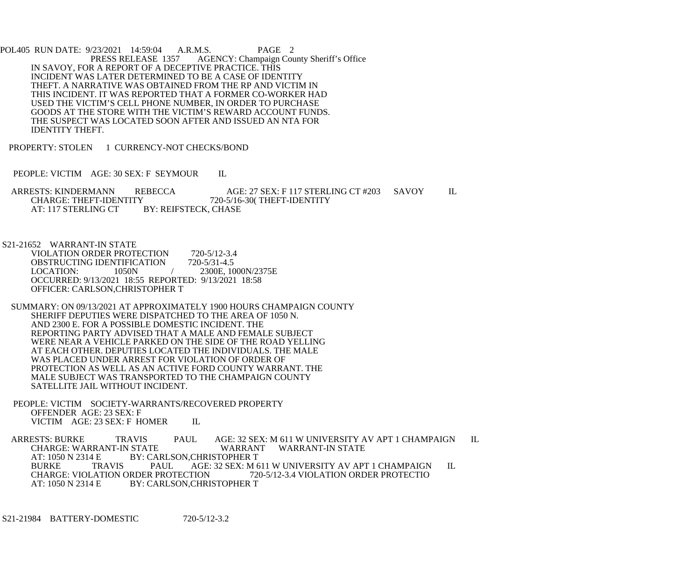POL405 RUN DATE: 9/23/2021 14:59:04 A.R.M.S. PAGE 2<br>PRESS RELEASE 1357 AGENCY: Champaign Cou AGENCY: Champaign County Sheriff's Office IN SAVOY, FOR A REPORT OF A DECEPTIVE PRACTICE. THIS INCIDENT WAS LATER DETERMINED TO BE A CASE OF IDENTITY THEFT. A NARRATIVE WAS OBTAINED FROM THE RP AND VICTIM IN THIS INCIDENT. IT WAS REPORTED THAT A FORMER CO-WORKER HAD USED THE VICTIM'S CELL PHONE NUMBER, IN ORDER TO PURCHASE GOODS AT THE STORE WITH THE VICTIM'S REWARD ACCOUNT FUNDS. THE SUSPECT WAS LOCATED SOON AFTER AND ISSUED AN NTA FOR IDENTITY THEFT.

PROPERTY: STOLEN 1 CURRENCY-NOT CHECKS/BOND

PEOPLE: VICTIM AGE: 30 SEX: F SEYMOUR IL

 ARRESTS: KINDERMANN REBECCA AGE: 27 SEX: F 117 STERLING CT #203 SAVOY IL CHARGE: THEFT-IDENTITY 720-5/16-30( THEFT-IDENTITY<br>AT: 117 STERLING CT BY: REIFSTECK. CHASE BY: REIFSTECK, CHASE

S21-21652 WARRANT-IN STATE

VIOLATION ORDER PROTECTION 720-5/12-3.4<br>OBSTRUCTING IDENTIFICATION 720-5/31-4.5 OBSTRUCTING IDENTIFICATION<br>LOCATION: 1050N 2300E, 1000N/2375E OCCURRED: 9/13/2021 18:55 REPORTED: 9/13/2021 18:58 OFFICER: CARLSON,CHRISTOPHER T

 SUMMARY: ON 09/13/2021 AT APPROXIMATELY 1900 HOURS CHAMPAIGN COUNTY SHERIFF DEPUTIES WERE DISPATCHED TO THE AREA OF 1050 N. AND 2300 E. FOR A POSSIBLE DOMESTIC INCIDENT. THE REPORTING PARTY ADVISED THAT A MALE AND FEMALE SUBJECT WERE NEAR A VEHICLE PARKED ON THE SIDE OF THE ROAD YELLING AT EACH OTHER. DEPUTIES LOCATED THE INDIVIDUALS. THE MALE WAS PLACED UNDER ARREST FOR VIOLATION OF ORDER OF PROTECTION AS WELL AS AN ACTIVE FORD COUNTY WARRANT. THE MALE SUBJECT WAS TRANSPORTED TO THE CHAMPAIGN COUNTY SATELLITE JAIL WITHOUT INCIDENT.

 PEOPLE: VICTIM SOCIETY-WARRANTS/RECOVERED PROPERTY OFFENDER AGE: 23 SEX: F VICTIM AGE: 23 SEX: F HOMER IL

ARRESTS: BURKE TRAVIS PAUL AGE: 32 SEX: M 611 W UNIVERSITY AV APT 1 CHAMPAIGN IL<br>CHARGE: WARRANT-IN STATE WARRANT WARRANT-IN STATE CHARGE: WARRANT-IN STATE WARRANT WARRANT-IN STATE<br>AT: 1050 N 2314 E BY: CARLSON.CHRISTOPHER T AT: 1050 N 2314 E BY: CARLSON, CHRISTOPHER T<br>BURKE TRAVIS PAUL AGE: 32 SEX: M 6 BURKE TRAVIS PAUL AGE: 32 SEX: M 611 W UNIVERSITY AV APT 1 CHAMPAIGN IL CHARGE: VIOLATION ORDER PROTECTIO CHARGE: VIOLATION ORDER PROTECTION 720-5/12-3.4 VIOLATION ORDER PROTECTIO<br>AT: 1050 N 2314 E BY: CARLSON.CHRISTOPHER T BY: CARLSON, CHRISTOPHER T

S21-21984 BATTERY-DOMESTIC 720-5/12-3.2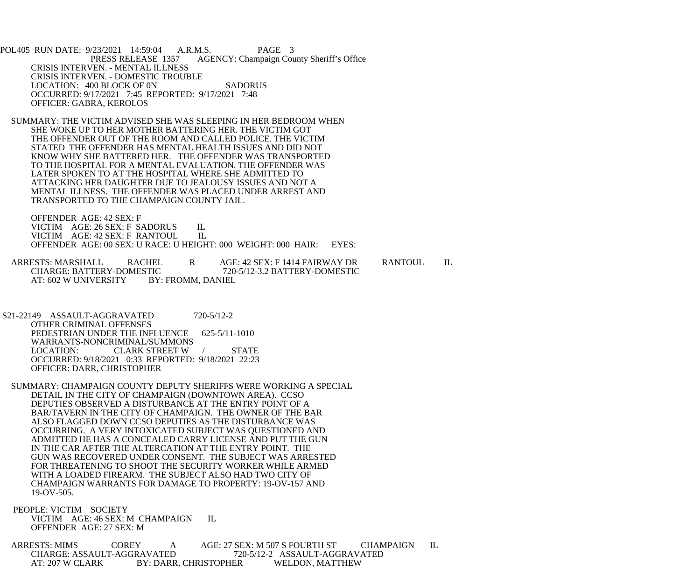POL405 RUN DATE: 9/23/2021 14:59:04 A.R.M.S. PAGE 3<br>PRESS RELEASE 1357 AGENCY: Champaign Cou AGENCY: Champaign County Sheriff's Office CRISIS INTERVEN. - MENTAL ILLNESS CRISIS INTERVEN. - DOMESTIC TROUBLE LOCATION: 400 BLOCK OF 0N SADORUS OCCURRED: 9/17/2021 7:45 REPORTED: 9/17/2021 7:48 OFFICER: GABRA, KEROLOS

 SUMMARY: THE VICTIM ADVISED SHE WAS SLEEPING IN HER BEDROOM WHEN SHE WOKE UP TO HER MOTHER BATTERING HER. THE VICTIM GOT THE OFFENDER OUT OF THE ROOM AND CALLED POLICE. THE VICTIM STATED THE OFFENDER HAS MENTAL HEALTH ISSUES AND DID NOT KNOW WHY SHE BATTERED HER. THE OFFENDER WAS TRANSPORTED TO THE HOSPITAL FOR A MENTAL EVALUATION. THE OFFENDER WAS LATER SPOKEN TO AT THE HOSPITAL WHERE SHE ADMITTED TO ATTACKING HER DAUGHTER DUE TO JEALOUSY ISSUES AND NOT A MENTAL ILLNESS. THE OFFENDER WAS PLACED UNDER ARREST AND TRANSPORTED TO THE CHAMPAIGN COUNTY JAIL.

 OFFENDER AGE: 42 SEX: F VICTIM AGE: 26 SEX: F SADORUS IL<br>VICTIM AGE: 42 SEX: F RANTOUL IL VICTIM AGE: 42 SEX: F RANTOUL OFFENDER AGE: 00 SEX: U RACE: U HEIGHT: 000 WEIGHT: 000 HAIR: EYES:

 ARRESTS: MARSHALL RACHEL R AGE: 42 SEX: F 1414 FAIRWAY DR RANTOUL IL CHARGE: BATTERY-DOMESTIC 720<br>AT: 602 W UNIVERSITY BY: FROMM, DANIEL AT: 602 W UNIVERSITY

 S21-22149 ASSAULT-AGGRAVATED 720-5/12-2 OTHER CRIMINAL OFFENSES PEDESTRIAN UNDER THE INFLUENCE 625-5/11-1010 WARRANTS-NONCRIMINAL/SUMMONS<br>LOCATION: CLARK STREET W CLARK STREET W / STATE OCCURRED: 9/18/2021 0:33 REPORTED: 9/18/2021 22:23 OFFICER: DARR, CHRISTOPHER

- SUMMARY: CHAMPAIGN COUNTY DEPUTY SHERIFFS WERE WORKING A SPECIAL DETAIL IN THE CITY OF CHAMPAIGN (DOWNTOWN AREA). CCSO DEPUTIES OBSERVED A DISTURBANCE AT THE ENTRY POINT OF A BAR/TAVERN IN THE CITY OF CHAMPAIGN. THE OWNER OF THE BAR ALSO FLAGGED DOWN CCSO DEPUTIES AS THE DISTURBANCE WAS OCCURRING. A VERY INTOXICATED SUBJECT WAS QUESTIONED AND ADMITTED HE HAS A CONCEALED CARRY LICENSE AND PUT THE GUN IN THE CAR AFTER THE ALTERCATION AT THE ENTRY POINT. THE GUN WAS RECOVERED UNDER CONSENT. THE SUBJECT WAS ARRESTED FOR THREATENING TO SHOOT THE SECURITY WORKER WHILE ARMED WITH A LOADED FIREARM. THE SUBJECT ALSO HAD TWO CITY OF CHAMPAIGN WARRANTS FOR DAMAGE TO PROPERTY: 19-OV-157 AND 19-OV-505.
- PEOPLE: VICTIM SOCIETY VICTIM AGE: 46 SEX: M CHAMPAIGN IL OFFENDER AGE: 27 SEX: M

 ARRESTS: MIMS COREY A AGE: 27 SEX: M 507 S FOURTH ST CHAMPAIGN IL CHARGE: ASSAULT-AGGRAVATED 720-5/12-2 ASSAULT-AGGRAVATED<br>AT: 207 W CLARK BY: DARR, CHRISTOPHER WELDON, MATTHEW BY: DARR, CHRISTOPHER